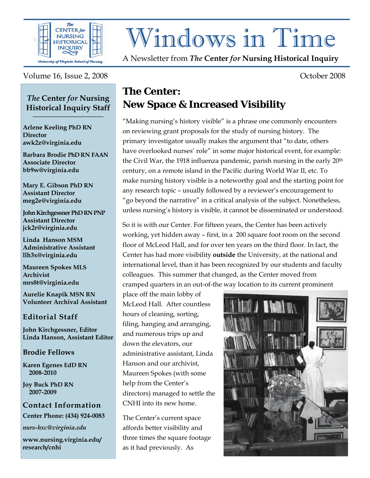

# Windows in Time

A Newsletter from *The* **Center** *for* **Nursing Historical Inquiry** 

#### Volume 16, Issue 2, 2008 Cober 2008

#### *The* **Center** *for* **Nursing Historical Inquiry Staff \_\_\_\_\_\_\_\_\_\_\_\_\_\_\_\_\_\_**

**Arlene Keeling PhD RN Director awk2z@virginia.edu** 

**Barbara Brodie PhD RN FAAN Associate Director bb9w@virginia.edu**

**Mary E. Gibson PhD RN Assistant Director meg2e@virginia.edu** 

**John Kirchgessner PhD RN PNP Assistant Director jck2r@virginia.edu** 

**Linda Hanson MSM Administrative Assistant llh3x@virginia.edu** 

**Maureen Spokes MLS Archivist mrs8t@virginia.edu** 

**Aurelie Knapik MSN RN Volunteer Archival Assistant** 

#### **Editorial Staff**

**John Kirchgessner, Editor Linda Hanson, Assistant Editor** 

#### **Brodie Fellows**

**Karen Egenes EdD RN 2008-2010** 

**Joy Buck PhD RN 2007-2009** 

**Contact Information Center Phone: (434) 924-0083** 

*nurs-hxc@virginia.edu* 

**www.nursing.virginia.edu/ research/cnhi**

## **The Center: New Space & Increased Visibility**

"Making nursing's history visible" is a phrase one commonly encounters on reviewing grant proposals for the study of nursing history. The primary investigator usually makes the argument that "to date, others have overlooked nurses' role" in some major historical event, for example: the Civil War, the 1918 influenza pandemic, parish nursing in the early 20th century, on a remote island in the Pacific during World War II, etc. To make nursing history visible is a noteworthy goal and the starting point for any research topic – usually followed by a reviewer's encouragement to "go beyond the narrative" in a critical analysis of the subject. Nonetheless, unless nursing's history is visible, it cannot be disseminated or understood.

So it is with our Center. For fifteen years, the Center has been actively working, yet hidden away – first, in a 200 square foot room on the second floor of McLeod Hall, and for over ten years on the third floor. In fact, the Center has had more visibility **outside** the University, at the national and international level, than it has been recognized by our students and faculty colleagues. This summer that changed, as the Center moved from cramped quarters in an out-of-the way location to its current prominent

place off the main lobby of McLeod Hall. After countless hours of cleaning, sorting, filing, hanging and arranging, and numerous trips up and down the elevators, our administrative assistant, Linda Hanson and our archivist, Maureen Spokes (with some help from the Center's directors) managed to settle the CNHI into its new home.

The Center's current space affords better visibility and three times the square footage as it had previously. As

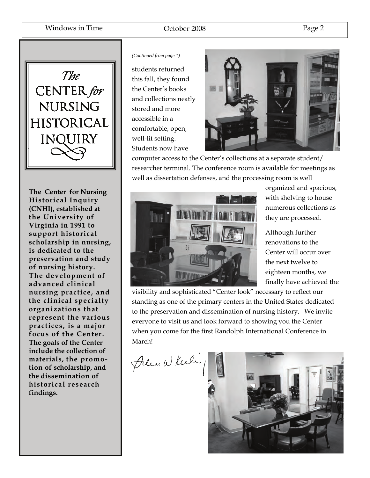

**The Center for Nursing**  $\overline{\textbf{Historical Inquiv}}$ **especially emphasized (CNHI), established at the University of The goals of the Center Virginia in 1991 to include the collection of support historical materials, the promo-scholarship in nursing, tion of scholarship, and is dedicated to the the dissemination of preservation and study historical research of nursing history. findings. The development of advanced clinical nursing practice, and the clinical specialty organizations that represent the various practices, is a major focus of the Center. The goals of the Center include the collection of materials, the promotion of scholarship, and the dissemination of historical research findings.** 

#### *(Continued from page 1)*

students returned this fall, they found the Center's books and collections neatly stored and more accessible in a comfortable, open, well-lit setting. Students now have



computer access to the Center's collections at a separate student/ researcher terminal. The conference room is available for meetings as well as dissertation defenses, and the processing room is well



organized and spacious, with shelving to house numerous collections as they are processed.

Although further renovations to the Center will occur over the next twelve to eighteen months, we finally have achieved the

visibility and sophisticated "Center look" necessary to reflect our standing as one of the primary centers in the United States dedicated to the preservation and dissemination of nursing history. We invite everyone to visit us and look forward to showing you the Center when you come for the first Randolph International Conference in March!



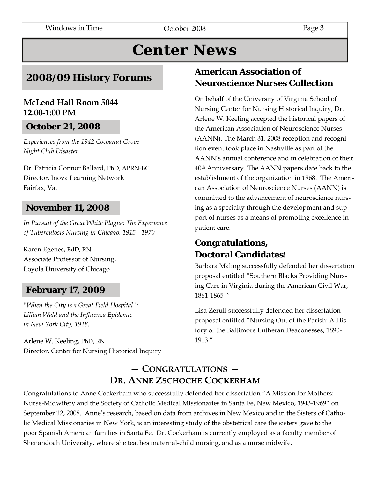## **Center News**

## **2008/09 History Forums**

#### **McLeod Hall Room 5044 12:00-1:00 PM**

## **October 21, 2008**

*Experiences from the 1942 Cocoanut Grove Night Club Disaster* 

Dr. Patricia Connor Ballard, PhD, APRN-BC. Director, Inova Learning Network Fairfax, Va.

## **November 11, 2008**

*In Pursuit of the Great White Plague: The Experience of Tuberculosis Nursing in Chicago, 1915 - 1970*

Karen Egenes, EdD, RN Associate Professor of Nursing, Loyola University of Chicago

## **February 17, 2009**

*"When the City is a Great Field Hospital": Lillian Wald and the Influenza Epidemic in New York City, 1918.* 

Arlene W. Keeling, PhD, RN Director, Center for Nursing Historical Inquiry

## **American Association of Neuroscience Nurses Collection**

On behalf of the University of Virginia School of Nursing Center for Nursing Historical Inquiry, Dr. Arlene W. Keeling accepted the historical papers of the American Association of Neuroscience Nurses (AANN). The March 31, 2008 reception and recognition event took place in Nashville as part of the AANN's annual conference and in celebration of their 40th Anniversary. The AANN papers date back to the establishment of the organization in 1968. The American Association of Neuroscience Nurses (AANN) is committed to the advancement of neuroscience nursing as a specialty through the development and support of nurses as a means of promoting excellence in patient care.

## **Congratulations, Doctoral Candidates!**

Barbara Maling successfully defended her dissertation proposal entitled "Southern Blacks Providing Nursing Care in Virginia during the American Civil War, 1861-1865 ."

Lisa Zerull successfully defended her dissertation proposal entitled "Nursing Out of the Parish: A History of the Baltimore Lutheran Deaconesses, 1890- 1913."

## **— CONGRATULATIONS — DR. ANNE ZSCHOCHE COCKERHAM**

Congratulations to Anne Cockerham who successfully defended her dissertation "A Mission for Mothers: Nurse-Midwifery and the Society of Catholic Medical Missionaries in Santa Fe, New Mexico, 1943-1969" on September 12, 2008. Anne's research, based on data from archives in New Mexico and in the Sisters of Catholic Medical Missionaries in New York, is an interesting study of the obstetrical care the sisters gave to the poor Spanish American families in Santa Fe. Dr. Cockerham is currently employed as a faculty member of Shenandoah University, where she teaches maternal-child nursing, and as a nurse midwife.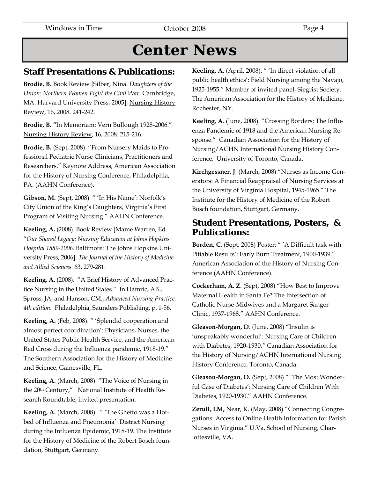## **Center News**

#### **Staff Presentations & Publications:**

**Brodie, B.** Book Review [Silber, Nina. *Daughters of the Union: Northern Women Fight the Civil War.* Cambridge, MA: Harvard University Press, 2005], Nursing History Review, 16, 2008. 241-242.

**Brodie, B. "**In Memoriam: Vern Bullough 1928-2006." Nursing History Review, 16, 2008. 215-216.

**Brodie, B.** (Sept, 2008) "From Nursery Maids to Professional Pediatric Nurse Clinicians, Practitioners and Researchers." Keynote Address, American Association for the History of Nursing Conference, Philadelphia, PA. (AAHN Conference).

**Gibson, M.** (Sept, 2008) " 'In His Name': Norfolk's City Union of the King's Daughters, Virginia's First Program of Visiting Nursing." AAHN Conference.

**Keeling, A.** (2008). Book Review [Mame Warren, Ed. "*Our Shared Legacy: Nursing Education at Johns Hopkins Hospital 1889-2006.* Baltimore: The Johns Hopkins University Press, 2006]. *The Journal of the History of Medicine and Allied Sciences.* 63, 279-281.

**Keeling, A.** (2008). "A Brief History of Advanced Practice Nursing in the United States." In Hamric, AB., Spross, JA, and Hanson, CM., *Advanced Nursing Practice, 4th edition.* Philadelphia, Saunders Publishing. p. 1-56.

**Keeling, A.** (Feb, 2008). " 'Splendid cooperation and almost perfect coordination': Physicians, Nurses, the United States Public Health Service, and the American Red Cross during the Influenza pandemic, 1918-19." The Southern Association for the History of Medicine and Science, Gainesville, FL.

**Keeling, A.** (March, 2008). "The Voice of Nursing in the 20th Century," National Institute of Health Research Roundtable, invited presentation.

**Keeling, A.** (March, 2008). " 'The Ghetto was a Hotbed of Influenza and Pneumonia': District Nursing during the Influenza Epidemic, 1918-19. The Institute for the History of Medicine of the Robert Bosch foundation, Stuttgart, Germany.

**Keeling, A**. (April, 2008). " 'In direct violation of all public health ethics': Field Nursing among the Navajo, 1925-1955." Member of invited panel, Siegrist Society. The American Association for the History of Medicine, Rochester, NY.

**Keeling, A**. (June, 2008). "Crossing Borders: The Influenza Pandemic of 1918 and the American Nursing Response." Canadian Association for the History of Nursing/ACHN International Nursing History Conference, University of Toronto, Canada.

**Kirchgessner, J**. (March, 2008) "Nurses as Income Generators: A Financial Reappraisal of Nursing Services at the University of Virginia Hospital, 1945-1965." The Institute for the History of Medicine of the Robert Bosch foundation, Stuttgart, Germany.

### **Student Presentations, Posters, & Publications:**

**Borden, C.** (Sept, 2008) Poster: " 'A Difficult task with Pitiable Results': Early Burn Treatment, 1900-1939." American Association of the History of Nursing Conference (AAHN Conference).

**Cockerham, A. Z**. (Sept, 2008) "How Best to Improve Maternal Health in Santa Fe? The Intersection of Catholic Nurse-Midwives and a Margaret Sanger Clinic, 1937-1968." AAHN Conference.

**Gleason-Morgan, D**. (June, 2008) "Insulin is 'unspeakably wonderful': Nursing Care of Children with Diabetes, 1920-1930*."* Canadian Association for the History of Nursing/ACHN International Nursing History Conference, Toronto, Canada.

**Gleason-Morgan, D.** (Sept, 2008) " 'The Most Wonderful Case of Diabetes': Nursing Care of Children With Diabetes, 1920-1930." AAHN Conference.

**Zerull, LM,** Near, K. (May, 2008) "Connecting Congregations: Access to Online Health Information for Parish Nurses in Virginia." U.Va. School of Nursing, Charlottesville, VA.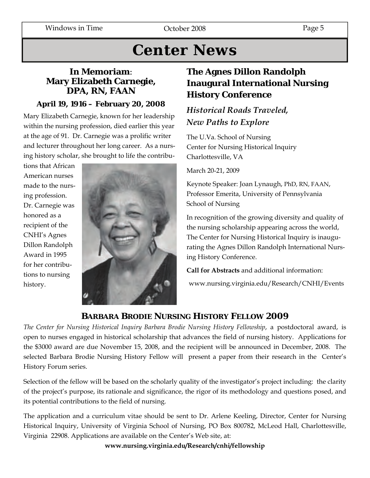## **Center News**

### **In Memoriam**: **Mary Elizabeth Carnegie, DPA, RN, FAAN**

#### **April 19, 1916 – February 20, 2008**

Mary Elizabeth Carnegie, known for her leadership within the nursing profession, died earlier this year at the age of 91. Dr. Carnegie was a prolific writer and lecturer throughout her long career. As a nursing history scholar, she brought to life the contribu-

tions that African American nurses made to the nursing profession. Dr. Carnegie was honored as a recipient of the CNHI's Agnes Dillon Randolph Award in 1995 for her contributions to nursing history.



## **The Agnes Dillon Randolph Inaugural International Nursing History Conference**

## *Historical Roads Traveled, New Paths to Explore*

The U.Va. School of Nursing Center for Nursing Historical Inquiry Charlottesville, VA

March 20-21, 2009

Keynote Speaker: Joan Lynaugh, PhD, RN, FAAN, Professor Emerita, University of Pennsylvania School of Nursing

In recognition of the growing diversity and quality of the nursing scholarship appearing across the world, The Center for Nursing Historical Inquiry is inaugurating the Agnes Dillon Randolph International Nursing History Conference.

**Call for Abstracts** and additional information:

www.nursing.virginia.edu/Research/CNHI/Events

## **BARBARA BRODIE NURSING HISTORY FELLOW 2009**

*The Center for Nursing Historical Inquiry Barbara Brodie Nursing History Fellowship*, a postdoctoral award, is open to nurses engaged in historical scholarship that advances the field of nursing history. Applications for the \$3000 award are due November 15, 2008, and the recipient will be announced in December, 2008. The selected Barbara Brodie Nursing History Fellow will present a paper from their research in the Center's History Forum series.

Selection of the fellow will be based on the scholarly quality of the investigator's project including: the clarity of the project's purpose, its rationale and significance, the rigor of its methodology and questions posed, and its potential contributions to the field of nursing.

The application and a curriculum vitae should be sent to Dr. Arlene Keeling, Director, Center for Nursing Historical Inquiry, University of Virginia School of Nursing, PO Box 800782, McLeod Hall, Charlottesville, Virginia 22908. Applications are available on the Center's Web site, at:

**www.nursing.virginia.edu/Research/cnhi/fellowship**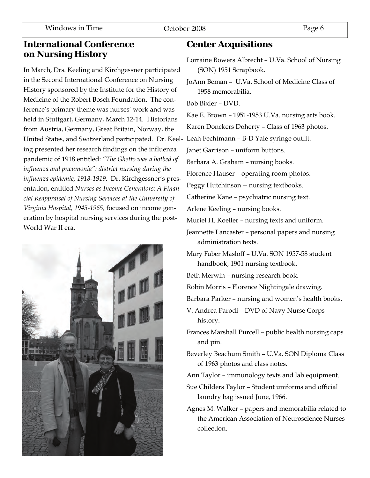#### **International Conference on Nursing History**

In March, Drs. Keeling and Kirchgessner participated in the Second International Conference on Nursing History sponsored by the Institute for the History of Medicine of the Robert Bosch Foundation. The conference's primary theme was nurses' work and was held in Stuttgart, Germany, March 12-14. Historians from Austria, Germany, Great Britain, Norway, the United States, and Switzerland participated. Dr. Keeling presented her research findings on the influenza pandemic of 1918 entitled: *"The Ghetto was a hotbed of influenza and pneumonia": district nursing during the influenza epidemic, 1918-1919.* Dr. Kirchgessner's presentation, entitled *Nurses as Income Generators: A Financial Reappraisal of Nursing Services at the University of Virginia Hospital, 1945-1965,* focused on income generation by hospital nursing services during the post-World War II era.



#### **Center Acquisitions**

- Lorraine Bowers Albrecht U.Va. School of Nursing (SON) 1951 Scrapbook.
- JoAnn Beman U.Va. School of Medicine Class of 1958 memorabilia.

Bob Bixler – DVD.

Kae E. Brown – 1951-1953 U.Va. nursing arts book.

Karen Donckers Doherty – Class of 1963 photos.

Leah Fechtmann – B-D Yale syringe outfit.

Janet Garrison – uniform buttons.

Barbara A. Graham – nursing books.

Florence Hauser – operating room photos.

Peggy Hutchinson -- nursing textbooks.

Catherine Kane – psychiatric nursing text.

Arlene Keeling – nursing books.

Muriel H. Koeller – nursing texts and uniform.

Jeannette Lancaster – personal papers and nursing administration texts.

Mary Faber Masloff – U.Va. SON 1957-58 student handbook, 1901 nursing textbook.

- Beth Merwin nursing research book.
- Robin Morris Florence Nightingale drawing.

Barbara Parker – nursing and women's health books.

V. Andrea Parodi – DVD of Navy Nurse Corps history.

Frances Marshall Purcell – public health nursing caps and pin.

Beverley Beachum Smith – U.Va. SON Diploma Class of 1963 photos and class notes.

- Ann Taylor immunology texts and lab equipment.
- Sue Childers Taylor Student uniforms and official laundry bag issued June, 1966.
- Agnes M. Walker papers and memorabilia related to the American Association of Neuroscience Nurses collection.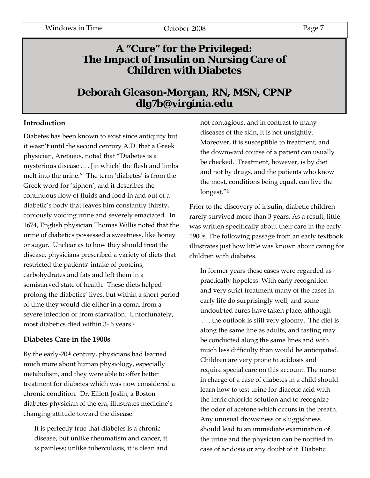## **A "Cure" for the Privileged: The Impact of Insulin on Nursing Care of Children with Diabetes**

## **Deborah Gleason-Morgan, RN, MSN, CPNP dlg7b@virginia.edu**

#### **Introduction**

Diabetes has been known to exist since antiquity but it wasn't until the second century A.D. that a Greek physician, Aretaeus, noted that "Diabetes is a mysterious disease . . . [in which] the flesh and limbs melt into the urine." The term 'diabetes' is from the Greek word for 'siphon', and it describes the continuous flow of fluids and food in and out of a diabetic's body that leaves him constantly thirsty, copiously voiding urine and severely emaciated. In 1674, English physician Thomas Willis noted that the urine of diabetics possessed a sweetness, like honey or sugar. Unclear as to how they should treat the disease, physicians prescribed a variety of diets that restricted the patients' intake of proteins, carbohydrates and fats and left them in a semistarved state of health. These diets helped prolong the diabetics' lives, but within a short period of time they would die either in a coma, from a severe infection or from starvation. Unfortunately, most diabetics died within 3- 6 years.<sup>1</sup>

#### **Diabetes Care in the 1900s**

By the early-20th century, physicians had learned much more about human physiology, especially metabolism, and they were able to offer better treatment for diabetes which was now considered a chronic condition. Dr. Elliott Joslin, a Boston diabetes physician of the era, illustrates medicine's changing attitude toward the disease:

It is perfectly true that diabetes is a chronic disease, but unlike rheumatism and cancer, it is painless; unlike tuberculosis, it is clean and not contagious, and in contrast to many diseases of the skin, it is not unsightly. Moreover, it is susceptible to treatment, and the downward course of a patient can usually be checked. Treatment, however, is by diet and not by drugs, and the patients who know the most, conditions being equal, can live the longest."2

Prior to the discovery of insulin, diabetic children rarely survived more than 3 years. As a result, little was written specifically about their care in the early 1900s. The following passage from an early textbook illustrates just how little was known about caring for children with diabetes.

In former years these cases were regarded as practically hopeless. With early recognition and very strict treatment many of the cases in early life do surprisingly well, and some undoubted cures have taken place, although . . . the outlook is still very gloomy. The diet is along the same line as adults, and fasting may be conducted along the same lines and with much less difficulty than would be anticipated. Children are very prone to acidosis and require special care on this account. The nurse in charge of a case of diabetes in a child should learn how to test urine for diacetic acid with the ferric chloride solution and to recognize the odor of acetone which occurs in the breath. Any unusual drowsiness or sluggishness should lead to an immediate examination of the urine and the physician can be notified in case of acidosis or any doubt of it. Diabetic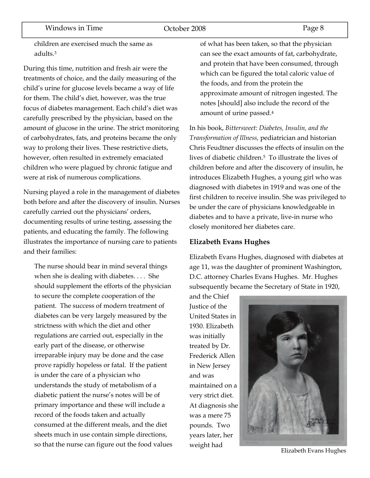children are exercised much the same as adults.3

During this time, nutrition and fresh air were the treatments of choice, and the daily measuring of the child's urine for glucose levels became a way of life for them. The child's diet, however, was the true focus of diabetes management. Each child's diet was carefully prescribed by the physician, based on the amount of glucose in the urine. The strict monitoring of carbohydrates, fats, and proteins became the only way to prolong their lives. These restrictive diets, however, often resulted in extremely emaciated children who were plagued by chronic fatigue and were at risk of numerous complications.

Nursing played a role in the management of diabetes both before and after the discovery of insulin. Nurses carefully carried out the physicians' orders, documenting results of urine testing, assessing the patients, and educating the family. The following illustrates the importance of nursing care to patients and their families:

The nurse should bear in mind several things when she is dealing with diabetes. . . . She should supplement the efforts of the physician to secure the complete cooperation of the patient. The success of modern treatment of diabetes can be very largely measured by the strictness with which the diet and other regulations are carried out, especially in the early part of the disease, or otherwise irreparable injury may be done and the case prove rapidly hopeless or fatal. If the patient is under the care of a physician who understands the study of metabolism of a diabetic patient the nurse's notes will be of primary importance and these will include a record of the foods taken and actually consumed at the different meals, and the diet sheets much in use contain simple directions, so that the nurse can figure out the food values of what has been taken, so that the physician can see the exact amounts of fat, carbohydrate, and protein that have been consumed, through which can be figured the total caloric value of the foods, and from the protein the approximate amount of nitrogen ingested. The notes [should] also include the record of the amount of urine passed.4

In his book, *Bittersweet: Diabetes, Insulin, and the Transformation of Illness,* pediatrician and historian Chris Feudtner discusses the effects of insulin on the lives of diabetic children.5 To illustrate the lives of children before and after the discovery of insulin, he introduces Elizabeth Hughes, a young girl who was diagnosed with diabetes in 1919 and was one of the first children to receive insulin. She was privileged to be under the care of physicians knowledgeable in diabetes and to have a private, live-in nurse who closely monitored her diabetes care.

#### **Elizabeth Evans Hughes**

Elizabeth Evans Hughes, diagnosed with diabetes at age 11, was the daughter of prominent Washington, D.C. attorney Charles Evans Hughes. Mr. Hughes subsequently became the Secretary of State in 1920,

and the Chief Justice of the United States in 1930. Elizabeth was initially treated by Dr. Frederick Allen in New Jersey and was maintained on a very strict diet. At diagnosis she was a mere 75 pounds. Two years later, her



weight had **Elizabeth Evans Hughes**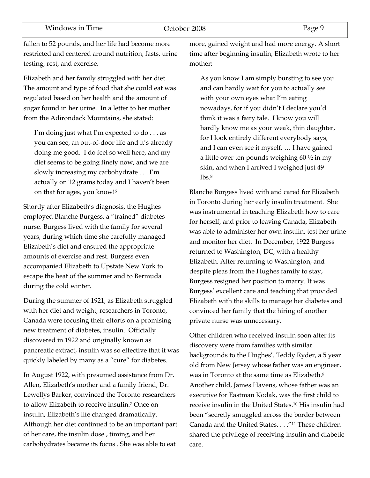fallen to 52 pounds, and her life had become more restricted and centered around nutrition, fasts, urine testing, rest, and exercise.

Elizabeth and her family struggled with her diet. The amount and type of food that she could eat was regulated based on her health and the amount of sugar found in her urine. In a letter to her mother from the Adirondack Mountains, she stated:

I'm doing just what I'm expected to do  $\dots$  as you can see, an out-of-door life and it's already doing me good. I do feel so well here, and my diet seems to be going finely now, and we are slowly increasing my carbohydrate . . . I'm actually on 12 grams today and I haven't been on that for ages, you know!6

Shortly after Elizabeth's diagnosis, the Hughes employed Blanche Burgess, a "trained" diabetes nurse. Burgess lived with the family for several years, during which time she carefully managed Elizabeth's diet and ensured the appropriate amounts of exercise and rest. Burgess even accompanied Elizabeth to Upstate New York to escape the heat of the summer and to Bermuda during the cold winter.

During the summer of 1921, as Elizabeth struggled with her diet and weight, researchers in Toronto, Canada were focusing their efforts on a promising new treatment of diabetes, insulin. Officially discovered in 1922 and originally known as pancreatic extract, insulin was so effective that it was quickly labeled by many as a "cure" for diabetes.

In August 1922, with presumed assistance from Dr. Allen, Elizabeth's mother and a family friend, Dr. Lewellys Barker, convinced the Toronto researchers to allow Elizabeth to receive insulin.7 Once on insulin, Elizabeth's life changed dramatically. Although her diet continued to be an important part of her care, the insulin dose , timing, and her carbohydrates became its focus . She was able to eat

more, gained weight and had more energy. A short time after beginning insulin, Elizabeth wrote to her mother:

As you know I am simply bursting to see you and can hardly wait for you to actually see with your own eyes what I'm eating nowadays, for if you didn't I declare you'd think it was a fairy tale. I know you will hardly know me as your weak, thin daughter, for I look entirely different everybody says, and I can even see it myself. … I have gained a little over ten pounds weighing  $60\frac{1}{2}$  in my skin, and when I arrived I weighed just 49  $lbs.8$ 

Blanche Burgess lived with and cared for Elizabeth in Toronto during her early insulin treatment. She was instrumental in teaching Elizabeth how to care for herself, and prior to leaving Canada, Elizabeth was able to administer her own insulin, test her urine and monitor her diet. In December, 1922 Burgess returned to Washington, DC, with a healthy Elizabeth. After returning to Washington, and despite pleas from the Hughes family to stay, Burgess resigned her position to marry. It was Burgess' excellent care and teaching that provided Elizabeth with the skills to manage her diabetes and convinced her family that the hiring of another private nurse was unnecessary.

Other children who received insulin soon after its discovery were from families with similar backgrounds to the Hughes'. Teddy Ryder, a 5 year old from New Jersey whose father was an engineer, was in Toronto at the same time as Elizabeth.9 Another child, James Havens, whose father was an executive for Eastman Kodak, was the first child to receive insulin in the United States.10 His insulin had been "secretly smuggled across the border between Canada and the United States. . . ."11 These children shared the privilege of receiving insulin and diabetic care.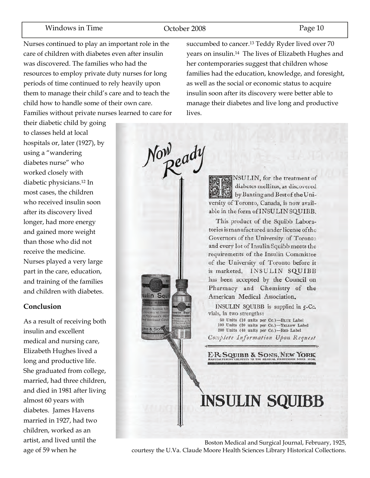#### Windows in Time **C**ortober 2008 Page 10

Noweady

ulin Squ

Nurses continued to play an important role in the care of children with diabetes even after insulin was discovered. The families who had the resources to employ private duty nurses for long periods of time continued to rely heavily upon them to manage their child's care and to teach the child how to handle some of their own care. Families without private nurses learned to care for

their diabetic child by going to classes held at local hospitals or, later (1927), by using a "wandering diabetes nurse" who worked closely with diabetic physicians.12 In most cases, the children who received insulin soon after its discovery lived longer, had more energy and gained more weight than those who did not receive the medicine. Nurses played a very large part in the care, education, and training of the families

and children with diabetes.

#### **Conclusion**

As a result of receiving both insulin and excellent medical and nursing care, Elizabeth Hughes lived a long and productive life. She graduated from college, married, had three children, and died in 1981 after living almost 60 years with diabetes. James Havens married in 1927, had two children, worked as an artist, and lived until the age of 59 when he

succumbed to cancer.13 Teddy Ryder lived over 70 years on insulin.14 The lives of Elizabeth Hughes and her contemporaries suggest that children whose families had the education, knowledge, and foresight, as well as the social or economic status to acquire insulin soon after its discovery were better able to manage their diabetes and live long and productive lives.

> NSULIN, for the treatment of diabetes mellitus, as discovered by Banting and Best of the University of Toronto, Canada, is now available in the form of INSULIN SQUIBB.

> This product of the Squibb Laboratories is manufactured under license of the Governors of the University of Toronto and every lot of Insulin Squibb meets the requirements of the Insulin Committee of the University of Toronto before it is marketed. INSULIN SQUIBB has been accepted by the Council on Pharmacy and Chemistry of the American Medical Association.

INSULIN SQUIBB is supplied in 5-Cc. vials, in two strengths:

50 Units (10 units per Cc.)-BLUE Label<br>100 Units (20 units per Cc.)-YELLOW Label 200 Units (40 units per Cc.)-RED Label

Complete Information Upon Request

E.R. SQUIBB & SONS, NEW YORK

## **INSULIN SQUIBB**

Boston Medical and Surgical Journal, February, 1925, courtesy the U.Va. Claude Moore Health Sciences Library Historical Collections.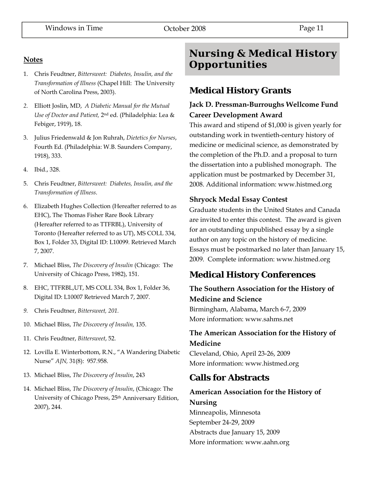#### **Notes**

- 1. Chris Feudtner, *Bittersweet: Diabetes, Insulin, and the Transformation of Illness* (Chapel Hill: The University of North Carolina Press, 2003).
- *2.* Elliott Joslin, MD, *A Diabetic Manual for the Mutual Use of Doctor and Patient,* 2nd ed. (Philadelphia: Lea & Febiger, 1919), 18.
- 3. Julius Friedenwald & Jon Ruhrah, *Dietetics for Nurses*, Fourth Ed. (Philadelphia: W.B. Saunders Company, 1918), 333.
- 4. Ibid., 328.
- 5. Chris Feudtner, *Bittersweet: Diabetes, Insulin, and the Transformation of Illness*.
- 6. Elizabeth Hughes Collection (Hereafter referred to as EHC), The Thomas Fisher Rare Book Library (Hereafter referred to as TTFRBL), University of Toronto (Hereafter referred to as UT), MS COLL 334, Box 1, Folder 33, Digital ID: L10099. Retrieved March 7, 2007.
- 7. Michael Bliss, *The Discovery of Insulin* (Chicago: The University of Chicago Press, 1982), 151.
- 8. EHC, TTFRBL,UT, MS COLL 334, Box 1, Folder 36, Digital ID: L10007 Retrieved March 7, 2007.
- *9.* Chris Feudtner, *Bittersweet, 201.*
- 10. Michael Bliss, *The Discovery of Insulin,* 135.
- 11. Chris Feudtner, *Bittersweet*, 52.
- 12. Lovilla E. Winterbottom, R.N., "A Wandering Diabetic Nurse" *AJN,* 31(8): 957.958.
- 13. Michael Bliss, *The Discovery of Insulin*, 243
- 14. Michael Bliss, *The Discovery of Insulin*, (Chicago: The University of Chicago Press, 25th Anniversary Edition, 2007), 244.

## **Nursing & Medical History Opportunities**

## **Medical History Grants**

#### **Jack D. Pressman-Burroughs Wellcome Fund Career Development Award**

This award and stipend of \$1,000 is given yearly for outstanding work in twentieth-century history of medicine or medicinal science, as demonstrated by the completion of the Ph.D. and a proposal to turn the dissertation into a published monograph. The application must be postmarked by December 31, 2008. Additional information: www.histmed.org

#### **Shryock Medal Essay Contest**

Graduate students in the United States and Canada are invited to enter this contest. The award is given for an outstanding unpublished essay by a single author on any topic on the history of medicine. Essays must be postmarked no later than January 15, 2009. Complete information: www.histmed.org

## **Medical History Conferences**

#### **The Southern Association for the History of Medicine and Science** Birmingham, Alabama, March 6-7, 2009 More information: www.sahms.net

**The American Association for the History of Medicine** 

Cleveland, Ohio, April 23-26, 2009 More information: www.histmed.org

## **Calls for Abstracts**

## **American Association for the History of Nursing**

Minneapolis, Minnesota September 24-29, 2009 Abstracts due January 15, 2009 More information: www.aahn.org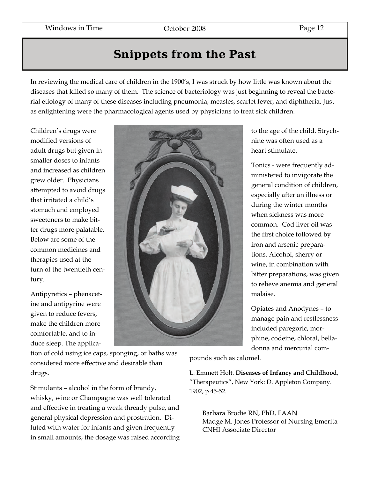## **Snippets from the Past**

In reviewing the medical care of children in the 1900's, I was struck by how little was known about the diseases that killed so many of them. The science of bacteriology was just beginning to reveal the bacterial etiology of many of these diseases including pneumonia, measles, scarlet fever, and diphtheria. Just as enlightening were the pharmacological agents used by physicians to treat sick children.

Children's drugs were modified versions of adult drugs but given in smaller doses to infants and increased as children grew older. Physicians attempted to avoid drugs that irritated a child's stomach and employed sweeteners to make bitter drugs more palatable. Below are some of the common medicines and therapies used at the turn of the twentieth century.

Antipyretics – phenacetine and antipyrine were given to reduce fevers, make the children more comfortable, and to induce sleep. The applica-



tion of cold using ice caps, sponging, or baths was considered more effective and desirable than drugs.

Stimulants – alcohol in the form of brandy, whisky, wine or Champagne was well tolerated and effective in treating a weak thready pulse, and general physical depression and prostration. Diluted with water for infants and given frequently in small amounts, the dosage was raised according

to the age of the child. Strychnine was often used as a heart stimulate.

Tonics - were frequently administered to invigorate the general condition of children, especially after an illness or during the winter months when sickness was more common. Cod liver oil was the first choice followed by iron and arsenic preparations. Alcohol, sherry or wine, in combination with bitter preparations, was given to relieve anemia and general malaise.

Opiates and Anodynes – to manage pain and restlessness included paregoric, morphine, codeine, chloral, belladonna and mercurial com-

pounds such as calomel.

L. Emmett Holt. **Diseases of Infancy and Childhood**, "Therapeutics", New York: D. Appleton Company. 1902, p 45-52.

Barbara Brodie RN, PhD, FAAN Madge M. Jones Professor of Nursing Emerita CNHI Associate Director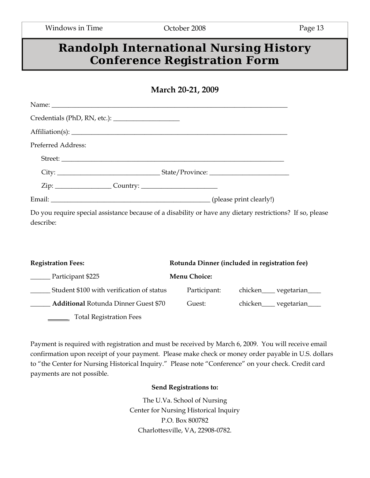## **Randolph International Nursing History Conference Registration Form**

| March 20-21, 2009 |  |  |
|-------------------|--|--|
|-------------------|--|--|

| Preferred Address: |        |
|--------------------|--------|
|                    |        |
|                    |        |
|                    |        |
|                    |        |
|                    | $\Box$ |

Do you require special assistance because of a disability or have any dietary restrictions? If so, please describe:

| <b>Registration Fees:</b>                   | Rotunda Dinner (included in registration fee) |                                 |  |
|---------------------------------------------|-----------------------------------------------|---------------------------------|--|
| Participant \$225                           | <b>Menu Choice:</b>                           |                                 |  |
| Student \$100 with verification of status   | Participant:                                  | chicken ______ vegetarian _____ |  |
| <b>Additional Rotunda Dinner Guest \$70</b> | Guest:                                        | chicken______ vegetarian_____   |  |
| <b>Total Registration Fees</b>              |                                               |                                 |  |

Payment is required with registration and must be received by March 6, 2009. You will receive email confirmation upon receipt of your payment. Please make check or money order payable in U.S. dollars to "the Center for Nursing Historical Inquiry." Please note "Conference" on your check. Credit card payments are not possible.

#### **Send Registrations to:**

The U.Va. School of Nursing Center for Nursing Historical Inquiry P.O. Box 800782 Charlottesville, VA, 22908-0782.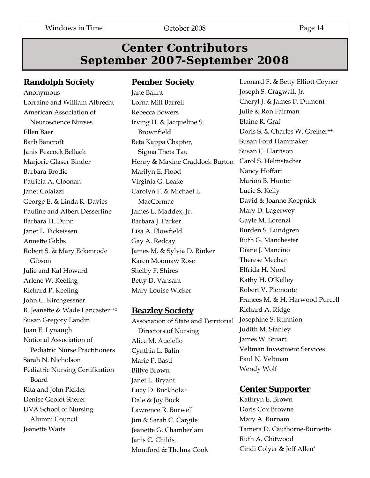## **Center Contributors September 2007-September 2008**

### **Randolph Society**

Anonymous Lorraine and William Albrecht American Association of Neuroscience Nurses Ellen Baer Barb Bancroft Janis Peacock Bellack Marjorie Glaser Binder Barbara Brodie Patricia A. Cloonan Janet Colaizzi George E. & Linda R. Davies Pauline and Albert Dessertine Barbara H. Dunn Janet L. Fickeissen Annette Gibbs Robert S. & Mary Eckenrode Gibson Julie and Kal Howard Arlene W. Keeling Richard P. Keeling John C. Kirchgessner B. Jeanette & Wade Lancaster++‡ Susan Gregory Landin Joan E. Lynaugh National Association of Pediatric Nurse Practitioners Sarah N. Nicholson Pediatric Nursing Certification Board Rita and John Pickler Denise Geolot Sherer UVA School of Nursing Alumni Council Jeanette Waits

#### **Pember Society**

Jane Balint Lorna Mill Barrell Rebecca Bowers Irving H. & Jacqueline S. Brownfield Beta Kappa Chapter, Sigma Theta Tau Henry & Maxine Craddock Burton Carol S. Helmstadter Marilyn E. Flood Virginia G. Leake Carolyn F. & Michael L. MacCormac James L. Maddex, Jr. Barbara J. Parker Lisa A. Plowfield Gay A. Redcay James M. & Sylvia D. Rinker Karen Moomaw Rose Shelby F. Shires Betty D. Vansant Mary Louise Wicker

#### **Beazley Society**

Association of State and Territorial Josephine S. Runnion Directors of Nursing Alice M. Auciello Cynthia L. Balin Marie P. Basti Billye Brown Janet L. Bryant Lucy D. Buckholz<sup>∞</sup> Dale & Joy Buck Lawrence R. Burwell Jim & Sarah C. Cargile Jeanette G. Chamberlain Janis C. Childs Montford & Thelma Cook

Leonard F. & Betty Elliott Coyner Joseph S. Cragwall, Jr. Cheryl J. & James P. Dumont Julie & Ron Fairman Elaine R. Graf Doris S. & Charles W. Greiner<sup>++□</sup> Susan Ford Hammaker Susan C. Harrison Nancy Hoffart Marion B. Hunter Lucie S. Kelly David & Joanne Koepnick Mary D. Lagerwey Gayle M. Lorenzi Burden S. Lundgren Ruth G. Manchester Diane J. Mancino Therese Meehan Elfrida H. Nord Kathy H. O'Kelley Robert V. Piemonte Frances M. & H. Harwood Purcell Richard A. Ridge Judith M. Stanley James W. Stuart Veltman Investment Services Paul N. Veltman Wendy Wolf

#### **Center Supporter**

Kathryn E. Brown Doris Cox Browne Mary A. Burnam Tamera D. Cauthorne-Burnette Ruth A. Chitwood Cindi Colyer & Jeff Allen\*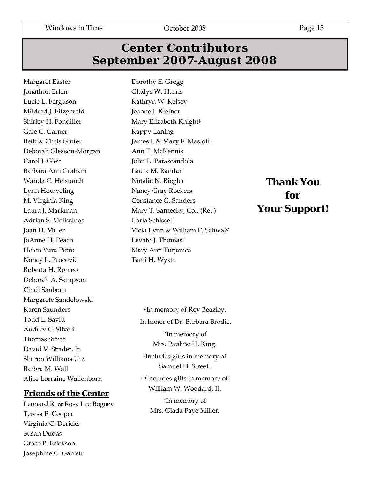Windows in Time **C**orober 2008 Page 15

## **Center Contributors September 2007-August 2008**

Margaret Easter Jonathon Erlen Lucie L. Ferguson Mildred J. Fitzgerald Shirley H. Fondiller Gale C. Garner Beth & Chris Ginter Deborah Gleason-Morgan Carol J. Gleit Barbara Ann Graham Wanda C. Heistandt Lynn Houweling M. Virginia King Laura J. Markman Adrian S. Melissinos Joan H. Miller JoAnne H. Peach Helen Yura Petro Nancy L. Procovic Roberta H. Romeo Deborah A. Sampson Cindi Sanborn Margarete Sandelowski Karen Saunders Todd L. Savitt Audrey C. Silveri Thomas Smith David V. Strider, Jr. Sharon Williams Utz Barbra M. Wall Alice Lorraine Wallenborn

#### **Friends of the Center**

Leonard R. & Rosa Lee Bogaev Teresa P. Cooper Virginia C. Dericks Susan Dudas Grace P. Erickson Josephine C. Garrett

Dorothy E. Gregg Gladys W. Harris Kathryn W. Kelsey Jeanne J. Kiefner Mary Elizabeth Knight‡ Kappy Laning James I. & Mary F. Masloff Ann T. McKennis John L. Parascandola Laura M. Randar Natalie N. Riegler Nancy Gray Rockers Constance G. Sanders Mary T. Sarnecky, Col. (Ret.) Carla Schissel Vicki Lynn & William P. Schwab\* Levato J. Thomas\*\* Mary Ann Turjanica Tami H. Wyatt

<sup>∞</sup>In memory of Roy Beazley. \*In honor of Dr. Barbara Brodie. \*\*In memory of Mrs. Pauline H. King. ‡Includes gifts in memory of Samuel H. Street. ++Includes gifts in memory of

> William W. Woodard, II. □In memory of

Mrs. Glada Faye Miller.

## **Thank You for Your Support!**